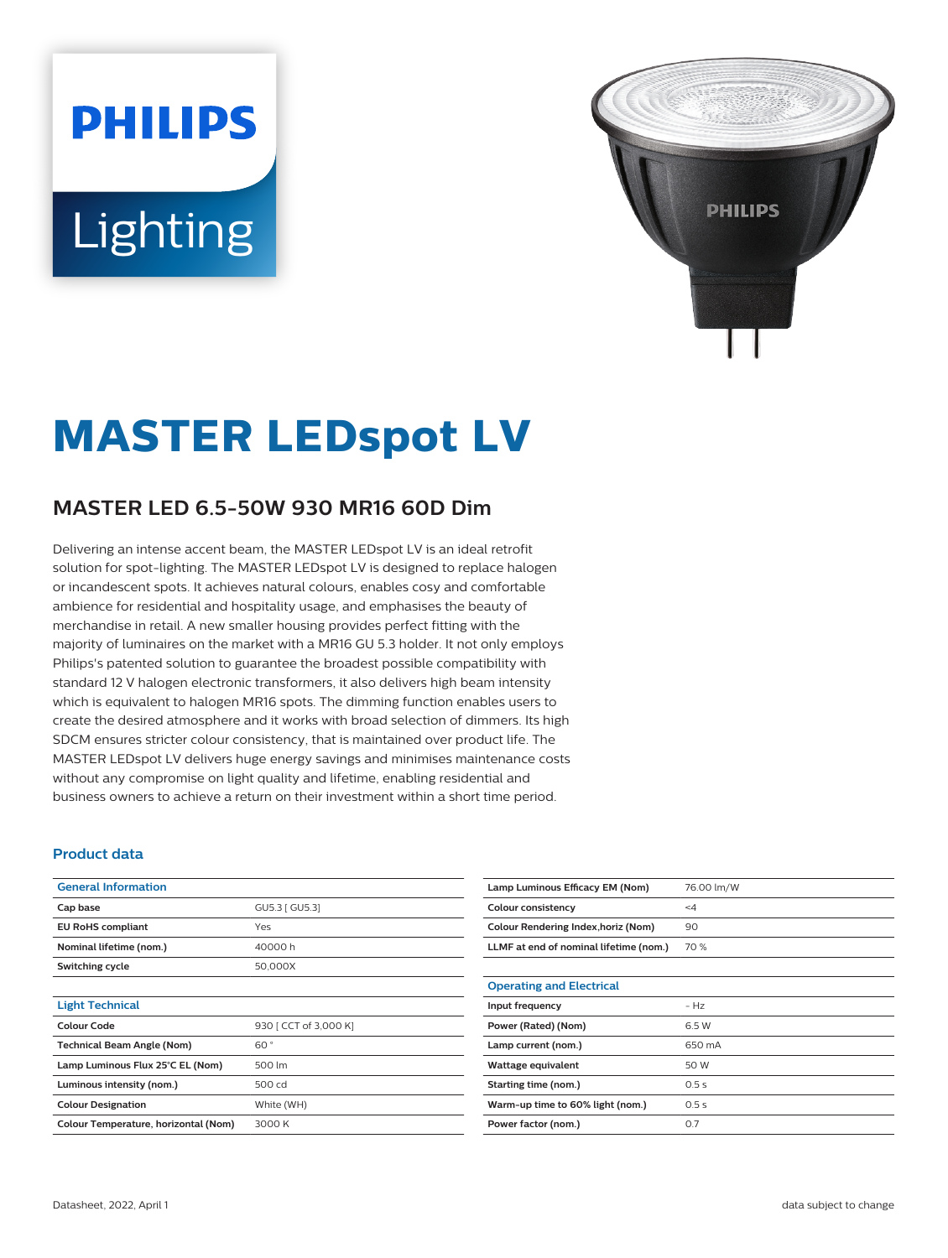# **PHILIPS** Lighting



## **MASTER LEDspot LV**

### **MASTER LED 6.5-50W 930 MR16 60D Dim**

Delivering an intense accent beam, the MASTER LEDspot LV is an ideal retrofit solution for spot-lighting. The MASTER LEDspot LV is designed to replace halogen or incandescent spots. It achieves natural colours, enables cosy and comfortable ambience for residential and hospitality usage, and emphasises the beauty of merchandise in retail. A new smaller housing provides perfect fitting with the majority of luminaires on the market with a MR16 GU 5.3 holder. It not only employs Philips's patented solution to guarantee the broadest possible compatibility with standard 12 V halogen electronic transformers, it also delivers high beam intensity which is equivalent to halogen MR16 spots. The dimming function enables users to create the desired atmosphere and it works with broad selection of dimmers. Its high SDCM ensures stricter colour consistency, that is maintained over product life. The MASTER LEDspot LV delivers huge energy savings and minimises maintenance costs without any compromise on light quality and lifetime, enabling residential and business owners to achieve a return on their investment within a short time period.

#### **Product data**

| <b>General Information</b>           |                       |
|--------------------------------------|-----------------------|
| Cap base                             | GU5.3   GU5.3]        |
| <b>EU RoHS compliant</b>             | Yes                   |
| Nominal lifetime (nom.)              | 40000h                |
| Switching cycle                      | 50,000X               |
|                                      |                       |
| <b>Light Technical</b>               |                       |
| Colour Code                          | 930 [ CCT of 3,000 K] |
| <b>Technical Beam Angle (Nom)</b>    | $60^{\circ}$          |
| Lamp Luminous Flux 25°C EL (Nom)     | 500 lm                |
| Luminous intensity (nom.)            | 500 cd                |
| <b>Colour Designation</b>            | White (WH)            |
| Colour Temperature, horizontal (Nom) | 3000 K                |

| Lamp Luminous Efficacy EM (Nom)        | 76.00 lm/W |
|----------------------------------------|------------|
| Colour consistency                     | $\leq 4$   |
| Colour Rendering Index, horiz (Nom)    | 90         |
| LLMF at end of nominal lifetime (nom.) | 70 %       |
|                                        |            |
| <b>Operating and Electrical</b>        |            |
| Input frequency                        | $-HZ$      |
| Power (Rated) (Nom)                    | 6.5 W      |
| Lamp current (nom.)                    | 650 mA     |
| Wattage equivalent                     | 50 W       |
| Starting time (nom.)                   | 0.5s       |
| Warm-up time to 60% light (nom.)       | 0.5s       |
| Power factor (nom.)                    | 0.7        |
|                                        |            |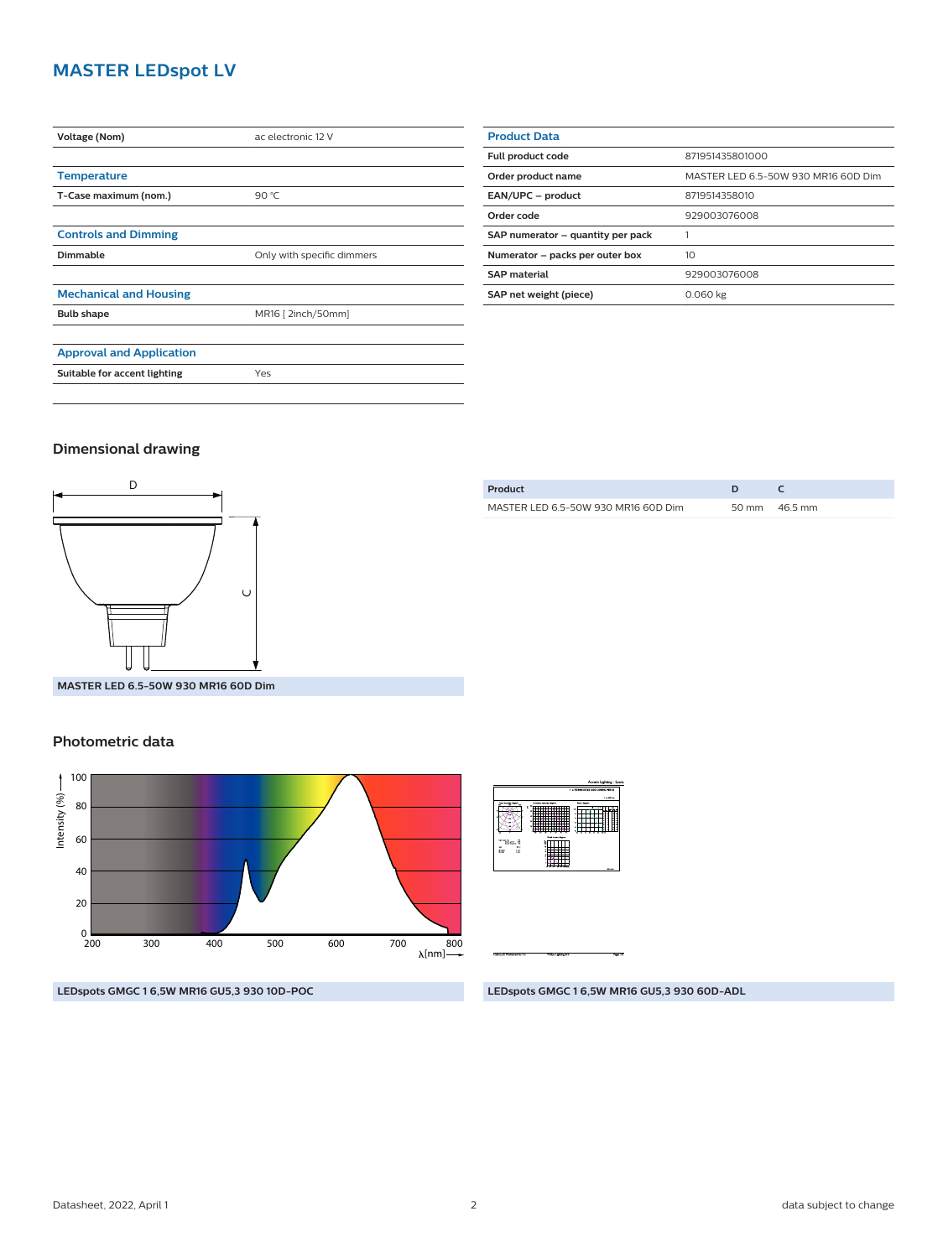#### **MASTER LEDspot LV**

| <b>Voltage (Nom)</b>            | ac electronic 12 V         |  |
|---------------------------------|----------------------------|--|
|                                 |                            |  |
| <b>Temperature</b>              |                            |  |
| T-Case maximum (nom.)           | 90 $°C$                    |  |
|                                 |                            |  |
| <b>Controls and Dimming</b>     |                            |  |
| Dimmable                        | Only with specific dimmers |  |
|                                 |                            |  |
| <b>Mechanical and Housing</b>   |                            |  |
| <b>Bulb shape</b>               | MR16 [ 2inch/50mm]         |  |
|                                 |                            |  |
| <b>Approval and Application</b> |                            |  |
| Suitable for accent lighting    | Yes                        |  |
|                                 |                            |  |

| <b>Product Data</b>               |                                     |  |
|-----------------------------------|-------------------------------------|--|
| Full product code                 | 871951435801000                     |  |
| Order product name                | MASTER LED 6.5-50W 930 MR16 60D Dim |  |
| EAN/UPC - product                 | 8719514358010                       |  |
| Order code                        | 929003076008                        |  |
| SAP numerator - quantity per pack |                                     |  |
| Numerator - packs per outer box   | 10 <sup>2</sup>                     |  |
| <b>SAP material</b>               | 929003076008                        |  |
| SAP net weight (piece)            | 0.060 kg                            |  |

#### **Dimensional drawing**



| Product                             |                 |
|-------------------------------------|-----------------|
| MASTER LED 6.5-50W 930 MR16 60D Dim | 50 mm $46.5$ mm |
|                                     |                 |

**MASTER LED 6.5-50W 930 MR16 60D Dim**

#### **Photometric data**



**SERIES**  $\sqrt{N}$ W Ξ

**LEDspots GMGC 1 6,5W MR16 GU5,3 930 10D-POC**

**LEDspots GMGC 1 6,5W MR16 GU5,3 930 60D-ADL**